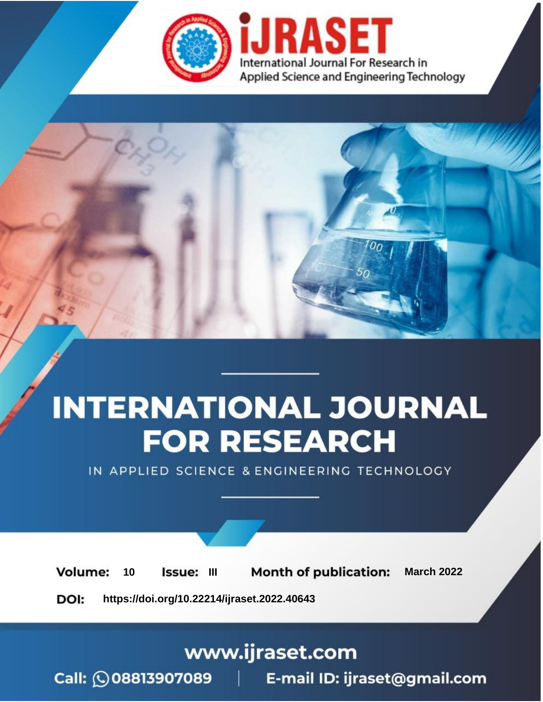

# **INTERNATIONAL JOURNAL FOR RESEARCH**

IN APPLIED SCIENCE & ENGINEERING TECHNOLOGY

10 **Issue: III Month of publication:** March 2022 **Volume:** 

**https://doi.org/10.22214/ijraset.2022.40643**DOI:

www.ijraset.com

Call: 008813907089 | E-mail ID: ijraset@gmail.com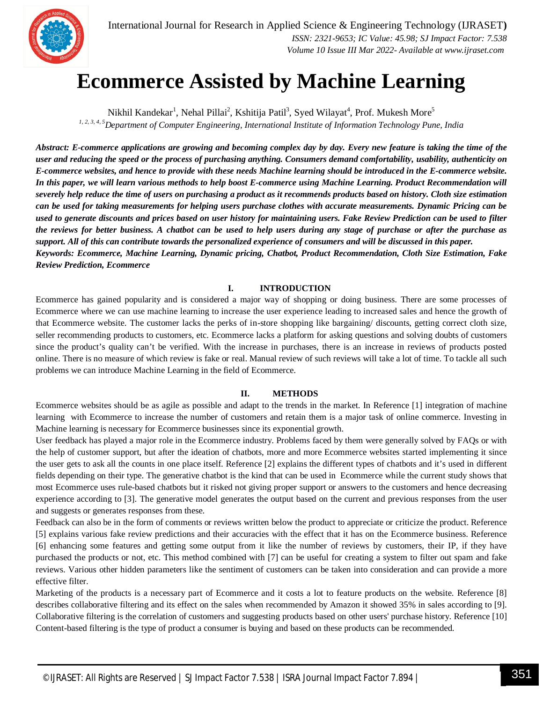

### **Ecommerce Assisted by Machine Learning**

Nikhil Kandekar<sup>1</sup>, Nehal Pillai<sup>2</sup>, Kshitija Patil<sup>3</sup>, Syed Wilayat<sup>4</sup>, Prof. Mukesh More<sup>5</sup> *1, 2, 3, 4, <sup>5</sup>Department of Computer Engineering, International Institute of Information Technology Pune, India*

*Abstract: E-commerce applications are growing and becoming complex day by day. Every new feature is taking the time of the user and reducing the speed or the process of purchasing anything. Consumers demand comfortability, usability, authenticity on E-commerce websites, and hence to provide with these needs Machine learning should be introduced in the E-commerce website. In this paper, we will learn various methods to help boost E-commerce using Machine Learning. Product Recommendation will severely help reduce the time of users on purchasing a product as it recommends products based on history. Cloth size estimation can be used for taking measurements for helping users purchase clothes with accurate measurements. Dynamic Pricing can be used to generate discounts and prices based on user history for maintaining users. Fake Review Prediction can be used to filter the reviews for better business. A chatbot can be used to help users during any stage of purchase or after the purchase as support. All of this can contribute towards the personalized experience of consumers and will be discussed in this paper. Keywords: Ecommerce, Machine Learning, Dynamic pricing, Chatbot, Product Recommendation, Cloth Size Estimation, Fake Review Prediction, Ecommerce*

#### **I. INTRODUCTION**

Ecommerce has gained popularity and is considered a major way of shopping or doing business. There are some processes of Ecommerce where we can use machine learning to increase the user experience leading to increased sales and hence the growth of that Ecommerce website. The customer lacks the perks of in-store shopping like bargaining/ discounts, getting correct cloth size, seller recommending products to customers, etc. Ecommerce lacks a platform for asking questions and solving doubts of customers since the product's quality can't be verified. With the increase in purchases, there is an increase in reviews of products posted online. There is no measure of which review is fake or real. Manual review of such reviews will take a lot of time. To tackle all such problems we can introduce Machine Learning in the field of Ecommerce.

#### **II. METHODS**

Ecommerce websites should be as agile as possible and adapt to the trends in the market. In Reference [1] integration of machine learning with Ecommerce to increase the number of customers and retain them is a major task of online commerce. Investing in Machine learning is necessary for Ecommerce businesses since its exponential growth.

User feedback has played a major role in the Ecommerce industry. Problems faced by them were generally solved by FAQs or with the help of customer support, but after the ideation of chatbots, more and more Ecommerce websites started implementing it since the user gets to ask all the counts in one place itself. Reference [2] explains the different types of chatbots and it's used in different fields depending on their type. The generative chatbot is the kind that can be used in Ecommerce while the current study shows that most Ecommerce uses rule-based chatbots but it risked not giving proper support or answers to the customers and hence decreasing experience according to [3]. The generative model generates the output based on the current and previous responses from the user and suggests or generates responses from these.

Feedback can also be in the form of comments or reviews written below the product to appreciate or criticize the product. Reference [5] explains various fake review predictions and their accuracies with the effect that it has on the Ecommerce business. Reference [6] enhancing some features and getting some output from it like the number of reviews by customers, their IP, if they have purchased the products or not, etc. This method combined with [7] can be useful for creating a system to filter out spam and fake reviews. Various other hidden parameters like the sentiment of customers can be taken into consideration and can provide a more effective filter.

Marketing of the products is a necessary part of Ecommerce and it costs a lot to feature products on the website. Reference [8] describes collaborative filtering and its effect on the sales when recommended by Amazon it showed 35% in sales according to [9]. Collaborative filtering is the correlation of customers and suggesting products based on other users' purchase history. Reference [10] Content-based filtering is the type of product a consumer is buying and based on these products can be recommended.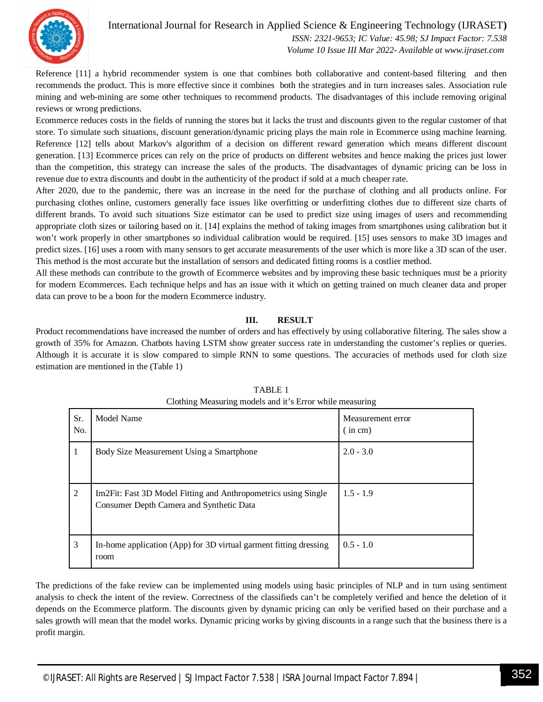

#### International Journal for Research in Applied Science & Engineering Technology (IJRASET**)**  *ISSN: 2321-9653; IC Value: 45.98; SJ Impact Factor: 7.538 Volume 10 Issue III Mar 2022- Available at www.ijraset.com*

Reference [11] a hybrid recommender system is one that combines both collaborative and content-based filtering and then recommends the product. This is more effective since it combines both the strategies and in turn increases sales. Association rule mining and web-mining are some other techniques to recommend products. The disadvantages of this include removing original reviews or wrong predictions.

Ecommerce reduces costs in the fields of running the stores but it lacks the trust and discounts given to the regular customer of that store. To simulate such situations, discount generation/dynamic pricing plays the main role in Ecommerce using machine learning. Reference [12] tells about Markov's algorithm of a decision on different reward generation which means different discount generation. [13] Ecommerce prices can rely on the price of products on different websites and hence making the prices just lower than the competition, this strategy can increase the sales of the products. The disadvantages of dynamic pricing can be loss in revenue due to extra discounts and doubt in the authenticity of the product if sold at a much cheaper rate.

After 2020, due to the pandemic, there was an increase in the need for the purchase of clothing and all products online. For purchasing clothes online, customers generally face issues like overfitting or underfitting clothes due to different size charts of different brands. To avoid such situations Size estimator can be used to predict size using images of users and recommending appropriate cloth sizes or tailoring based on it. [14] explains the method of taking images from smartphones using calibration but it won't work properly in other smartphones so individual calibration would be required. [15] uses sensors to make 3D images and predict sizes. [16] uses a room with many sensors to get accurate measurements of the user which is more like a 3D scan of the user. This method is the most accurate but the installation of sensors and dedicated fitting rooms is a costlier method.

All these methods can contribute to the growth of Ecommerce websites and by improving these basic techniques must be a priority for modern Ecommerces. Each technique helps and has an issue with it which on getting trained on much cleaner data and proper data can prove to be a boon for the modern Ecommerce industry.

#### **III. RESULT**

Product recommendations have increased the number of orders and has effectively by using collaborative filtering. The sales show a growth of 35% for Amazon. Chatbots having LSTM show greater success rate in understanding the customer's replies or queries. Although it is accurate it is slow compared to simple RNN to some questions. The accuracies of methods used for cloth size estimation are mentioned in the (Table 1)

| Sr.<br>No.     | Model Name                                                                                                              | Measurement error<br>(i <sub>n</sub> cm) |
|----------------|-------------------------------------------------------------------------------------------------------------------------|------------------------------------------|
|                | Body Size Measurement Using a Smartphone                                                                                | $2.0 - 3.0$                              |
| $\overline{2}$ | Im <sub>2</sub> Fit: Fast 3D Model Fitting and Anthropometrics using Single<br>Consumer Depth Camera and Synthetic Data | $1.5 - 1.9$                              |
| 3              | In-home application (App) for 3D virtual garment fitting dressing<br>room                                               | $0.5 - 1.0$                              |

#### TABLE 1 Clothing Measuring models and it's Error while measuring

The predictions of the fake review can be implemented using models using basic principles of NLP and in turn using sentiment analysis to check the intent of the review. Correctness of the classifieds can't be completely verified and hence the deletion of it depends on the Ecommerce platform. The discounts given by dynamic pricing can only be verified based on their purchase and a sales growth will mean that the model works. Dynamic pricing works by giving discounts in a range such that the business there is a profit margin.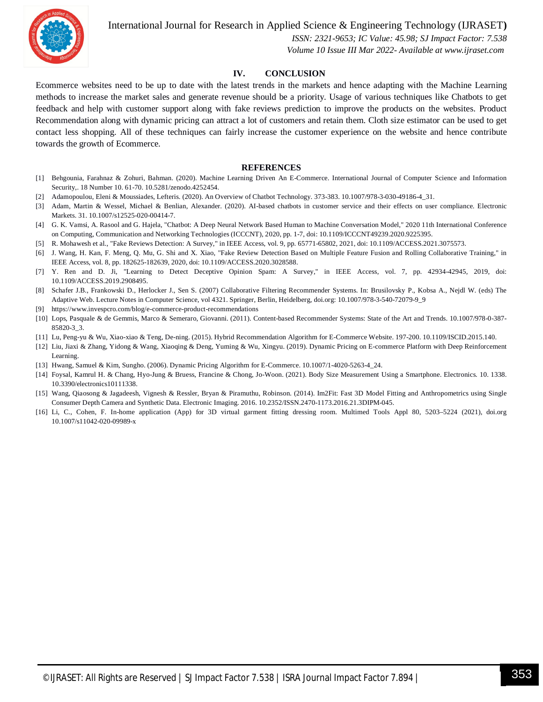

International Journal for Research in Applied Science & Engineering Technology (IJRASET**)**

 *ISSN: 2321-9653; IC Value: 45.98; SJ Impact Factor: 7.538 Volume 10 Issue III Mar 2022- Available at www.ijraset.com*

#### **IV. CONCLUSION**

Ecommerce websites need to be up to date with the latest trends in the markets and hence adapting with the Machine Learning methods to increase the market sales and generate revenue should be a priority. Usage of various techniques like Chatbots to get feedback and help with customer support along with fake reviews prediction to improve the products on the websites. Product Recommendation along with dynamic pricing can attract a lot of customers and retain them. Cloth size estimator can be used to get contact less shopping. All of these techniques can fairly increase the customer experience on the website and hence contribute towards the growth of Ecommerce.

#### **REFERENCES**

- [1] Behgounia, Farahnaz & Zohuri, Bahman. (2020). Machine Learning Driven An E-Commerce. International Journal of Computer Science and Information Security,. 18 Number 10. 61-70. 10.5281/zenodo.4252454.
- [2] Adamopoulou, Eleni & Moussiades, Lefteris. (2020). An Overview of Chatbot Technology. 373-383. 10.1007/978-3-030-49186-4\_31.
- [3] Adam, Martin & Wessel, Michael & Benlian, Alexander. (2020). AI-based chatbots in customer service and their effects on user compliance. Electronic Markets. 31. 10.1007/s12525-020-00414-7.
- [4] G. K. Vamsi, A. Rasool and G. Hajela, "Chatbot: A Deep Neural Network Based Human to Machine Conversation Model," 2020 11th International Conference on Computing, Communication and Networking Technologies (ICCCNT), 2020, pp. 1-7, doi: 10.1109/ICCCNT49239.2020.9225395.
- [5] R. Mohawesh et al., "Fake Reviews Detection: A Survey," in IEEE Access, vol. 9, pp. 65771-65802, 2021, doi: 10.1109/ACCESS.2021.3075573.
- [6] J. Wang, H. Kan, F. Meng, Q. Mu, G. Shi and X. Xiao, "Fake Review Detection Based on Multiple Feature Fusion and Rolling Collaborative Training," in IEEE Access, vol. 8, pp. 182625-182639, 2020, doi: 10.1109/ACCESS.2020.3028588.
- [7] Y. Ren and D. Ji, "Learning to Detect Deceptive Opinion Spam: A Survey," in IEEE Access, vol. 7, pp. 42934-42945, 2019, doi: 10.1109/ACCESS.2019.2908495.
- [8] Schafer J.B., Frankowski D., Herlocker J., Sen S. (2007) Collaborative Filtering Recommender Systems. In: Brusilovsky P., Kobsa A., Nejdl W. (eds) The Adaptive Web. Lecture Notes in Computer Science, vol 4321. Springer, Berlin, Heidelberg, doi.org: 10.1007/978-3-540-72079-9\_9
- [9] https://www.invespcro.com/blog/e-commerce-product-recommendations
- [10] Lops, Pasquale & de Gemmis, Marco & Semeraro, Giovanni. (2011). Content-based Recommender Systems: State of the Art and Trends. 10.1007/978-0-387- 85820-3\_3.
- [11] Lu, Peng-yu & Wu, Xiao-xiao & Teng, De-ning. (2015). Hybrid Recommendation Algorithm for E-Commerce Website. 197-200. 10.1109/ISCID.2015.140.
- [12] Liu, Jiaxi & Zhang, Yidong & Wang, Xiaoqing & Deng, Yuming & Wu, Xingyu. (2019). Dynamic Pricing on E-commerce Platform with Deep Reinforcement Learning.
- [13] Hwang, Samuel & Kim, Sungho. (2006). Dynamic Pricing Algorithm for E-Commerce. 10.1007/1-4020-5263-4\_24.
- [14] Foysal, Kamrul H. & Chang, Hyo-Jung & Bruess, Francine & Chong, Jo-Woon. (2021). Body Size Measurement Using a Smartphone. Electronics. 10. 1338. 10.3390/electronics10111338.
- [15] Wang, Qiaosong & Jagadeesh, Vignesh & Ressler, Bryan & Piramuthu, Robinson. (2014). Im2Fit: Fast 3D Model Fitting and Anthropometrics using Single Consumer Depth Camera and Synthetic Data. Electronic Imaging. 2016. 10.2352/ISSN.2470-1173.2016.21.3DIPM-045.
- [16] Li, C., Cohen, F. In-home application (App) for 3D virtual garment fitting dressing room. Multimed Tools Appl 80, 5203–5224 (2021), doi.org 10.1007/s11042-020-09989-x